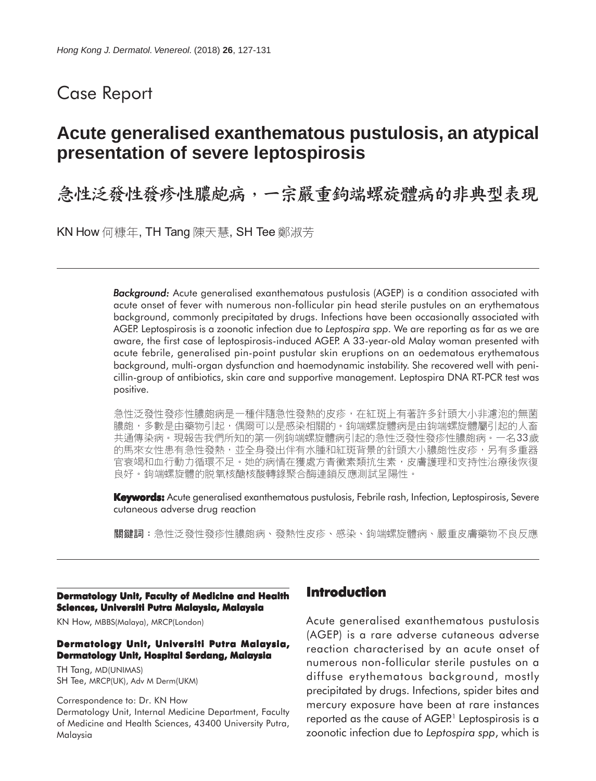## Case Report

# **Acute generalised exanthematous pustulosis, an atypical presentation of severe leptospirosis**

急性泛發性發疹性膿皰病,一宗嚴重鉤端螺旋體病的非典型表現

KN How 何糠年, TH Tang 陳天慧, SH Tee 鄭淑芳

*Background: Background:* Acute generalised exanthematous pustulosis (AGEP) is a condition associated with acute onset of fever with numerous non-follicular pin head sterile pustules on an erythematous background, commonly precipitated by drugs. Infections have been occasionally associated with AGEP. Leptospirosis is a zoonotic infection due to *Leptospira spp*. We are reporting as far as we are aware, the first case of leptospirosis-induced AGEP. A 33-year-old Malay woman presented with acute febrile, generalised pin-point pustular skin eruptions on an oedematous erythematous background, multi-organ dysfunction and haemodynamic instability. She recovered well with penicillin-group of antibiotics, skin care and supportive management. Leptospira DNA RT-PCR test was positive.

急性泛發性發疹性膿皰病是一種伴隨急性發熱的皮疹,在紅斑上有著許多針頭大小非濾泡的無菌 膿皰,多數是由藥物引起,偶爾可以是感染相關的。鉤端螺旋體病是由鉤端螺旋體屬引起的人畜 共通傳染病。現報告我們所知的第一例鉤端螺旋體病引起的急性泛發性發疹性膿皰病。一名33歲 的馬來女性患有急性發熱,並全身發出伴有水腫和紅斑背景的針頭大小膿皰性皮疹,另有多重器 官衰竭和血行動力循環不足。她的病情在獲處方青黴素類抗生素,皮膚護理和支持性治療後恢復 良好。鉤端螺旋體的脱氧核醣核酸轉錄聚合酶連鎖反應測試呈陽性。

**Keywords:** Acute generalised exanthematous pustulosis, Febrile rash, Infection, Leptospirosis, Severe cutaneous adverse drug reaction

**關鍵詞:**急性泛發性發疹性膿皰病、發熱性皮疹、感染、鉤端螺旋體病、嚴重皮膚藥物不良反應

#### **Dermatology Unit, Faculty of Medicine and Health Sciences, Universiti Putra Malaysia, Malaysia**

KN How, MBBS(Malaya), MRCP(London)

#### **Dermatology Unit, Universiti Putra Malaysia, Dermatology Unit, Hospital Serdang, Malaysia**

TH Tang, MD(UNIMAS) SH Tee, MRCP(UK), Adv M Derm(UKM)

Correspondence to: Dr. KN How Dermatology Unit, Internal Medicine Department, Faculty of Medicine and Health Sciences, 43400 University Putra, Malaysia

#### **Introduction**

Acute generalised exanthematous pustulosis (AGEP) is a rare adverse cutaneous adverse reaction characterised by an acute onset of numerous non-follicular sterile pustules on a diffuse erythematous background, mostly precipitated by drugs. Infections, spider bites and mercury exposure have been at rare instances reported as the cause of AGEP.<sup>1</sup> Leptospirosis is a zoonotic infection due to *Leptospira spp*, which is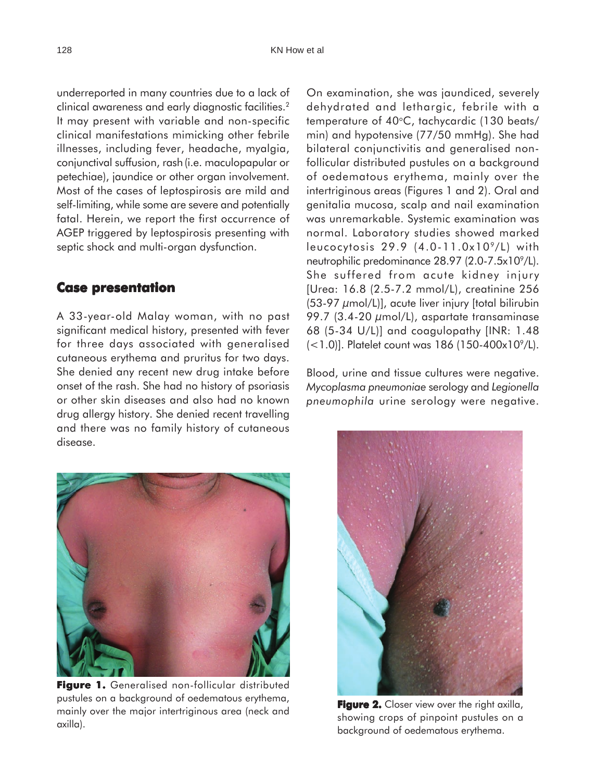underreported in many countries due to a lack of clinical awareness and early diagnostic facilities.2 It may present with variable and non-specific clinical manifestations mimicking other febrile illnesses, including fever, headache, myalgia, conjunctival suffusion, rash(i.e. maculopapular or petechiae), jaundice or other organ involvement. Most of the cases of leptospirosis are mild and self-limiting, while some are severe and potentially fatal. Herein, we report the first occurrence of AGEP triggered by leptospirosis presenting with septic shock and multi-organ dysfunction.

#### **Case presentation**

A 33-year-old Malay woman, with no past significant medical history, presented with fever for three days associated with generalised cutaneous erythema and pruritus for two days. She denied any recent new drug intake before onset of the rash. She had no history of psoriasis or other skin diseases and also had no known drug allergy history. She denied recent travelling and there was no family history of cutaneous disease.

On examination, she was jaundiced, severely dehydrated and lethargic, febrile with a temperature of 40°C, tachycardic (130 beats/ min) and hypotensive (77/50 mmHg). She had bilateral conjunctivitis and generalised nonfollicular distributed pustules on a background of oedematous erythema, mainly over the intertriginous areas (Figures 1 and 2). Oral and genitalia mucosa, scalp and nail examination was unremarkable. Systemic examination was normal. Laboratory studies showed marked leucocytosis  $29.9$  (4.0-11.0x10 $^{9}$ /L) with neutrophilic predominance 28.97 (2.0-7.5x10<sup>9</sup>/L). She suffered from acute kidney injury [Urea: 16.8 (2.5-7.2 mmol/L), creatinine 256 (53-97 µmol/L)], acute liver injury [total bilirubin 99.7 (3.4-20  $\mu$ mol/L), aspartate transaminase 68 (5-34 U/L)] and coagulopathy [INR: 1.48  $(-1.0)$ ]. Platelet count was 186 (150-400x10 $^{\circ}$ /L).

Blood, urine and tissue cultures were negative. *Mycoplasma pneumoniae* serology and *Legionella pneumophila* urine serology were negative.

**Figure 1. Figure 1.** Generalised non-follicular distributed pustules on a background of oedematous erythema,

mainly over the major intertriginous area (neck and

axilla).

**Figure 2.** Closer view over the right axilla, showing crops of pinpoint pustules on a background of oedematous erythema.

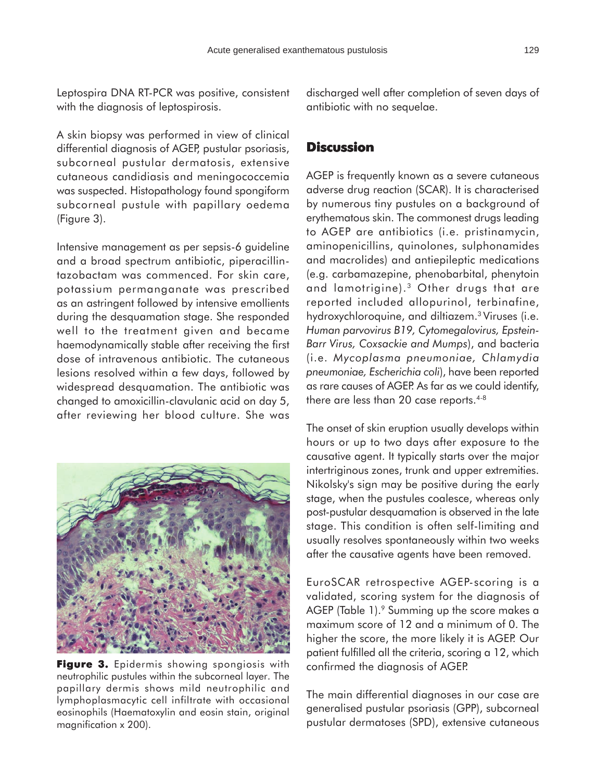Leptospira DNA RT-PCR was positive, consistent with the diagnosis of leptospirosis.

A skin biopsy was performed in view of clinical differential diagnosis of AGEP, pustular psoriasis, subcorneal pustular dermatosis, extensive cutaneous candidiasis and meningococcemia was suspected. Histopathology found spongiform subcorneal pustule with papillary oedema (Figure 3).

Intensive management as per sepsis-6 guideline and a broad spectrum antibiotic, piperacillintazobactam was commenced. For skin care, potassium permanganate was prescribed as an astringent followed by intensive emollients during the desquamation stage. She responded well to the treatment given and became haemodynamically stable after receiving the first dose of intravenous antibiotic. The cutaneous lesions resolved within a few days, followed by widespread desquamation. The antibiotic was changed to amoxicillin-clavulanic acid on day 5, after reviewing her blood culture. She was



**Figure 3.** Epidermis showing spongiosis with neutrophilic pustules within the subcorneal layer. The papillary dermis shows mild neutrophilic and lymphoplasmacytic cell infiltrate with occasional eosinophils (Haematoxylin and eosin stain, original magnification x 200).

discharged well after completion of seven days of antibiotic with no sequelae.

#### **Discussion**

AGEP is frequently known as a severe cutaneous adverse drug reaction (SCAR). It is characterised by numerous tiny pustules on a background of erythematous skin. The commonest drugs leading to AGEP are antibiotics (i.e. pristinamycin, aminopenicillins, quinolones, sulphonamides and macrolides) and antiepileptic medications (e.g. carbamazepine, phenobarbital, phenytoin and lamotrigine).<sup>3</sup> Other drugs that are reported included allopurinol, terbinafine, hydroxychloroquine, and diltiazem.3 Viruses (i.e. *Human parvovirus B19, Cytomegalovirus, Epstein-Barr Virus, Coxsackie and Mumps*), and bacteria (i.e. *Mycoplasma pneumoniae, Chlamydia pneumoniae, Escherichia coli*), have been reported as rare causes of AGEP. As far as we could identify, there are less than 20 case reports.<sup>4-8</sup>

The onset of skin eruption usually develops within hours or up to two days after exposure to the causative agent. It typically starts over the major intertriginous zones, trunk and upper extremities. Nikolsky's sign may be positive during the early stage, when the pustules coalesce, whereas only post-pustular desquamation is observed in the late stage. This condition is often self-limiting and usually resolves spontaneously within two weeks after the causative agents have been removed.

EuroSCAR retrospective AGEP-scoring is a validated, scoring system for the diagnosis of AGEP (Table 1).<sup>9</sup> Summing up the score makes a maximum score of 12 and a minimum of 0. The higher the score, the more likely it is AGEP. Our patient fulfilled all the criteria, scoring a 12, which confirmed the diagnosis of AGEP.

The main differential diagnoses in our case are generalised pustular psoriasis (GPP), subcorneal pustular dermatoses (SPD), extensive cutaneous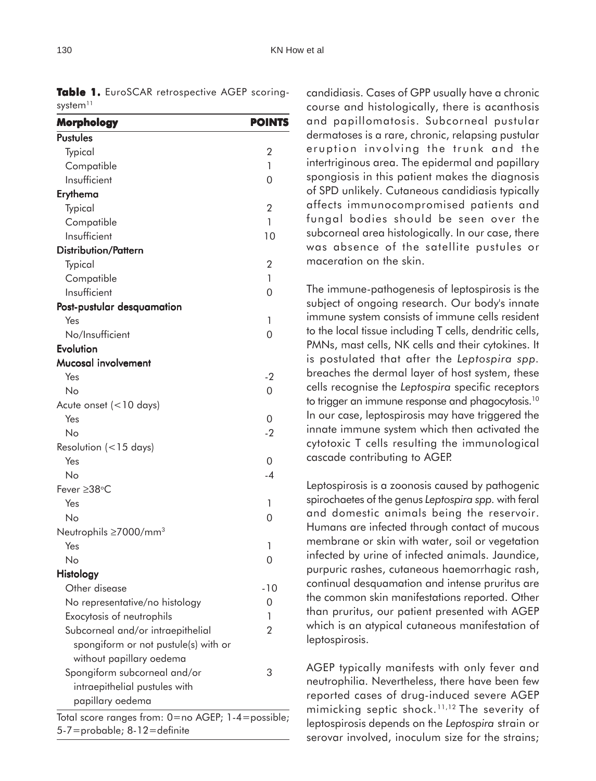| <b>Morphology</b>                                 | <b>POINTS</b>  |
|---------------------------------------------------|----------------|
| <b>Pustules</b>                                   |                |
| Typical                                           | $\overline{2}$ |
| Compatible                                        | 1              |
| Insufficient                                      | 0              |
| Erythema                                          |                |
| Typical                                           | $\overline{2}$ |
| Compatible                                        | 1              |
| Insufficient                                      | 10             |
| <b>Distribution/Pattern</b>                       |                |
| Typical                                           | 2              |
| Compatible                                        | 1              |
| Insufficient                                      | 0              |
| Post-pustular desquamation                        |                |
| Yes                                               | 1              |
| No/Insufficient                                   | 0              |
| Evolution                                         |                |
| <b>Mucosal involvement</b>                        |                |
| Yes                                               | $-2$           |
| No                                                | 0              |
| Acute onset $(< 10$ days)                         |                |
| Yes                                               | 0              |
| No                                                | $-2$           |
| Resolution $(< 15$ days)                          |                |
| Yes                                               | 0              |
| Nο                                                | $-4$           |
| Fever ≥38°C                                       |                |
| Yes                                               | 1              |
| No                                                | 0              |
| Neutrophils $\geq$ 7000/mm <sup>3</sup>           |                |
| Yes                                               | 1              |
| No                                                | 0              |
| <b>Histology</b>                                  |                |
| Other disease                                     | $-10$          |
| No representative/no histology                    | 0              |
| Exocytosis of neutrophils                         | 1              |
| Subcorneal and/or intraepithelial                 | 2              |
| spongiform or not pustule(s) with or              |                |
| without papillary oedema                          |                |
| Spongiform subcorneal and/or                      | 3              |
| intraepithelial pustules with                     |                |
| papillary oedema                                  |                |
| Total score ranges from: 0=no AGEP; 1-4=possible; |                |
| 5-7=probable; 8-12=definite                       |                |

Table 1. EuroSCAR retrospective AGEP scoring-

candidiasis. Cases of GPP usually have a chronic course and histologically, there is acanthosis and papillomatosis. Subcorneal pustular dermatoses is a rare, chronic, relapsing pustular eruption involving the trunk and the intertriginous area. The epidermal and papillary spongiosis in this patient makes the diagnosis of SPD unlikely. Cutaneous candidiasis typically affects immunocompromised patients and fungal bodies should be seen over the subcorneal area histologically. In our case, there was absence of the satellite pustules or maceration on the skin.

The immune-pathogenesis of leptospirosis is the subject of ongoing research. Our body's innate immune system consists of immune cells resident to the local tissue including T cells, dendritic cells, PMNs, mast cells, NK cells and their cytokines. It is postulated that after the *Leptospira spp.* breaches the dermal layer of host system, these cells recognise the *Leptospira* specific receptors to trigger an immune response and phagocytosis.<sup>10</sup> In our case, leptospirosis may have triggered the innate immune system which then activated the cytotoxic T cells resulting the immunological cascade contributing to AGEP.

Leptospirosis is a zoonosis caused by pathogenic spirochaetes of the genus *Leptospira spp.* with feral and domestic animals being the reservoir. Humans are infected through contact of mucous membrane or skin with water, soil or vegetation infected by urine of infected animals. Jaundice, purpuric rashes, cutaneous haemorrhagic rash, continual desquamation and intense pruritus are the common skin manifestations reported. Other than pruritus, our patient presented with AGEP which is an atypical cutaneous manifestation of leptospirosis.

AGEP typically manifests with only fever and neutrophilia. Nevertheless, there have been few reported cases of drug-induced severe AGEP mimicking septic shock.<sup>11,12</sup> The severity of leptospirosis depends on the *Leptospira* strain or serovar involved, inoculum size for the strains;

system $11$